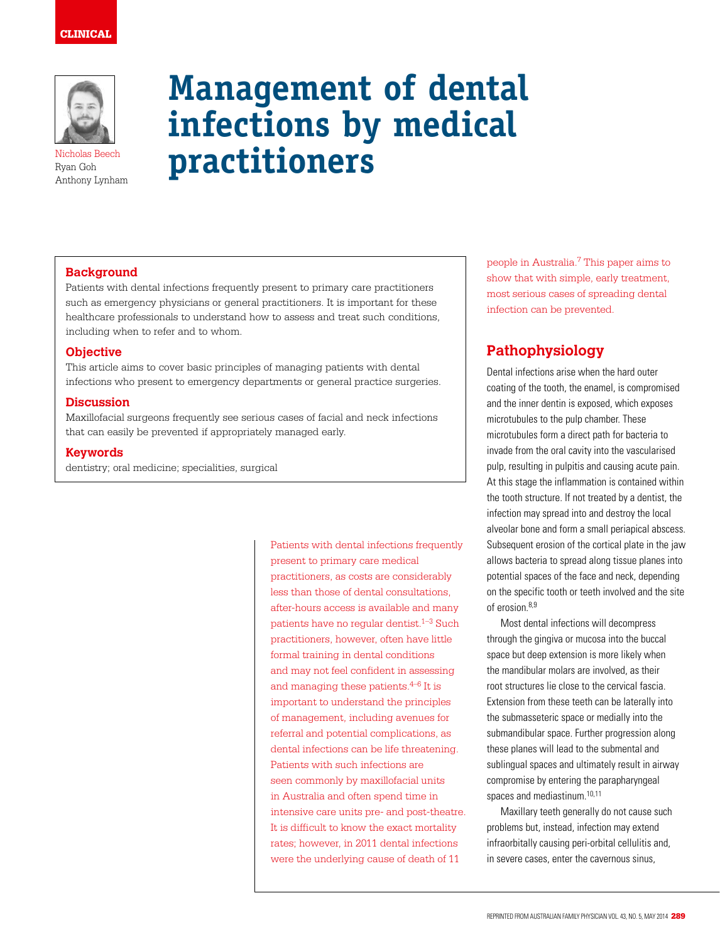# CLINICAL



Ryan Goh Anthony Lynham

# **Management of dental infections by medical Ryan Goh practitioners**

## **Background**

Patients with dental infections frequently present to primary care practitioners such as emergency physicians or general practitioners. It is important for these healthcare professionals to understand how to assess and treat such conditions, including when to refer and to whom.

#### **Objective**

This article aims to cover basic principles of managing patients with dental infections who present to emergency departments or general practice surgeries.

#### **Discussion**

Maxillofacial surgeons frequently see serious cases of facial and neck infections that can easily be prevented if appropriately managed early.

#### **Keywords**

dentistry; oral medicine; specialities, surgical

Patients with dental infections frequently present to primary care medical practitioners, as costs are considerably less than those of dental consultations, after-hours access is available and many patients have no regular dentist.<sup>1-3</sup> Such practitioners, however, often have little formal training in dental conditions and may not feel confident in assessing and managing these patients. $4-6$  It is important to understand the principles of management, including avenues for referral and potential complications, as dental infections can be life threatening. Patients with such infections are seen commonly by maxillofacial units in Australia and often spend time in intensive care units pre- and post-theatre. It is difficult to know the exact mortality rates; however, in 2011 dental infections were the underlying cause of death of 11

people in Australia.7 This paper aims to show that with simple, early treatment, most serious cases of spreading dental infection can be prevented.

# **Pathophysiology**

Dental infections arise when the hard outer coating of the tooth, the enamel, is compromised and the inner dentin is exposed, which exposes microtubules to the pulp chamber. These microtubules form a direct path for bacteria to invade from the oral cavity into the vascularised pulp, resulting in pulpitis and causing acute pain. At this stage the inflammation is contained within the tooth structure. If not treated by a dentist, the infection may spread into and destroy the local alveolar bone and form a small periapical abscess. Subsequent erosion of the cortical plate in the jaw allows bacteria to spread along tissue planes into potential spaces of the face and neck, depending on the specific tooth or teeth involved and the site of erosion  $8,9$ 

Most dental infections will decompress through the gingiva or mucosa into the buccal space but deep extension is more likely when the mandibular molars are involved, as their root structures lie close to the cervical fascia. Extension from these teeth can be laterally into the submasseteric space or medially into the submandibular space. Further progression along these planes will lead to the submental and sublingual spaces and ultimately result in airway compromise by entering the parapharyngeal spaces and mediastinum.10,11

Maxillary teeth generally do not cause such problems but, instead, infection may extend infraorbitally causing peri-orbital cellulitis and, in severe cases, enter the cavernous sinus,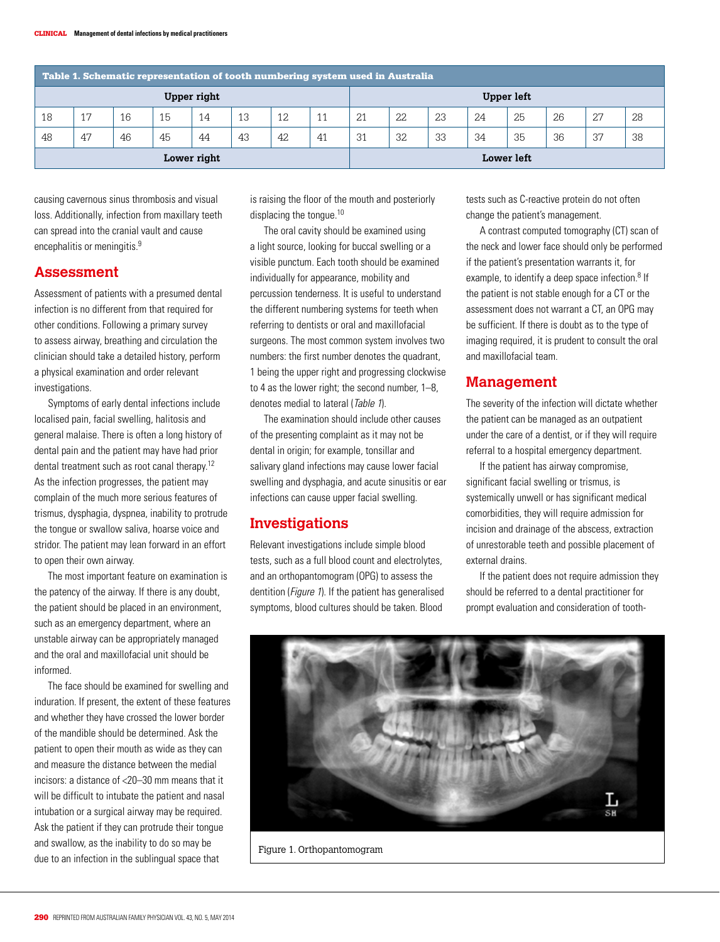| Table 1. Schematic representation of tooth numbering system used in Australia |    |    |    |    |    |     |    |                   |    |    |    |    |    |    |    |
|-------------------------------------------------------------------------------|----|----|----|----|----|-----|----|-------------------|----|----|----|----|----|----|----|
| Upper right                                                                   |    |    |    |    |    |     |    | <b>Upper left</b> |    |    |    |    |    |    |    |
| 18                                                                            | 17 | 16 | 15 | 14 | 13 | 12. | 11 | 21                | 22 | 23 | 24 | 25 | 26 | 27 | 28 |
| 48                                                                            | 47 | 46 | 45 | 44 | 43 | 42  | 41 | 31                | 32 | 33 | 34 | 35 | 36 | 37 | 38 |
| Lower right                                                                   |    |    |    |    |    |     |    | Lower left        |    |    |    |    |    |    |    |

causing cavernous sinus thrombosis and visual loss. Additionally, infection from maxillary teeth can spread into the cranial vault and cause encephalitis or meningitis.<sup>9</sup>

#### **Assessment**

Assessment of patients with a presumed dental infection is no different from that required for other conditions. Following a primary survey to assess airway, breathing and circulation the clinician should take a detailed history, perform a physical examination and order relevant investigations.

Symptoms of early dental infections include localised pain, facial swelling, halitosis and general malaise. There is often a long history of dental pain and the patient may have had prior dental treatment such as root canal therapy.12 As the infection progresses, the patient may complain of the much more serious features of trismus, dysphagia, dyspnea, inability to protrude the tongue or swallow saliva, hoarse voice and stridor. The patient may lean forward in an effort to open their own airway.

The most important feature on examination is the patency of the airway. If there is any doubt, the patient should be placed in an environment, such as an emergency department, where an unstable airway can be appropriately managed and the oral and maxillofacial unit should be informed.

The face should be examined for swelling and induration. If present, the extent of these features and whether they have crossed the lower border of the mandible should be determined. Ask the patient to open their mouth as wide as they can and measure the distance between the medial incisors: a distance of <20–30 mm means that it will be difficult to intubate the patient and nasal intubation or a surgical airway may be required. Ask the patient if they can protrude their tongue and swallow, as the inability to do so may be due to an infection in the sublingual space that

is raising the floor of the mouth and posteriorly displacing the tongue.<sup>10</sup>

The oral cavity should be examined using a light source, looking for buccal swelling or a visible punctum. Each tooth should be examined individually for appearance, mobility and percussion tenderness. It is useful to understand the different numbering systems for teeth when referring to dentists or oral and maxillofacial surgeons. The most common system involves two numbers: the first number denotes the quadrant, 1 being the upper right and progressing clockwise to 4 as the lower right; the second number, 1–8, denotes medial to lateral (Table 1).

The examination should include other causes of the presenting complaint as it may not be dental in origin; for example, tonsillar and salivary gland infections may cause lower facial swelling and dysphagia, and acute sinusitis or ear infections can cause upper facial swelling.

### **Investigations**

Relevant investigations include simple blood tests, such as a full blood count and electrolytes, and an orthopantomogram (OPG) to assess the dentition (*Figure 1*). If the patient has generalised symptoms, blood cultures should be taken. Blood

tests such as C-reactive protein do not often change the patient's management.

A contrast computed tomography (CT) scan of the neck and lower face should only be performed if the patient's presentation warrants it, for example, to identify a deep space infection.<sup>8</sup> If the patient is not stable enough for a CT or the assessment does not warrant a CT, an OPG may be sufficient. If there is doubt as to the type of imaging required, it is prudent to consult the oral and maxillofacial team.

## **Management**

The severity of the infection will dictate whether the patient can be managed as an outpatient under the care of a dentist, or if they will require referral to a hospital emergency department.

If the patient has airway compromise, significant facial swelling or trismus, is systemically unwell or has significant medical comorbidities, they will require admission for incision and drainage of the abscess, extraction of unrestorable teeth and possible placement of external drains.

If the patient does not require admission they should be referred to a dental practitioner for prompt evaluation and consideration of tooth-



Figure 1. Orthopantomogram